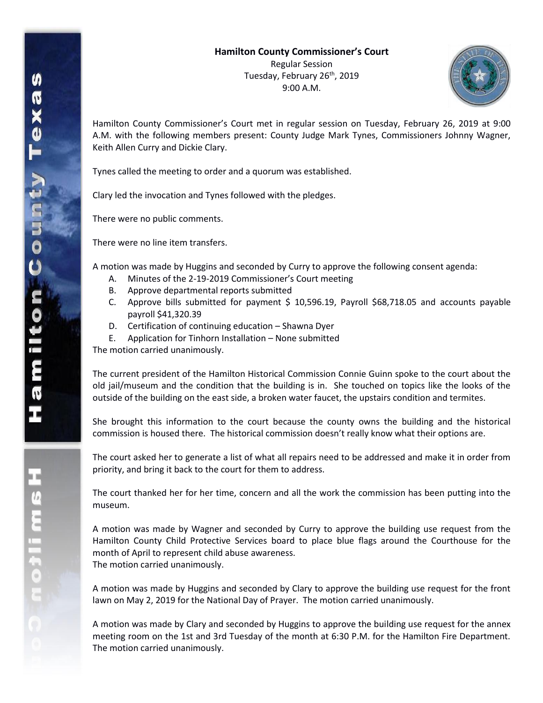

Hamilton County Commissioner's Court met in regular session on Tuesday, February 26, 2019 at 9:00 A.M. with the following members present: County Judge Mark Tynes, Commissioners Johnny Wagner, Keith Allen Curry and Dickie Clary.

Tynes called the meeting to order and a quorum was established.

Clary led the invocation and Tynes followed with the pledges.

There were no public comments.

There were no line item transfers.

A motion was made by Huggins and seconded by Curry to approve the following consent agenda:

- A. Minutes of the 2-19-2019 Commissioner's Court meeting
- B. Approve departmental reports submitted
- C. Approve bills submitted for payment  $$10,596.19$ , Payroll  $$68,718.05$  and accounts payable payroll \$41,320.39
- D. Certification of continuing education Shawna Dyer
- E. Application for Tinhorn Installation None submitted

The motion carried unanimously.

The current president of the Hamilton Historical Commission Connie Guinn spoke to the court about the old jail/museum and the condition that the building is in. She touched on topics like the looks of the outside of the building on the east side, a broken water faucet, the upstairs condition and termites.

She brought this information to the court because the county owns the building and the historical commission is housed there. The historical commission doesn't really know what their options are.

The court asked her to generate a list of what all repairs need to be addressed and make it in order from priority, and bring it back to the court for them to address.

The court thanked her for her time, concern and all the work the commission has been putting into the museum.

A motion was made by Wagner and seconded by Curry to approve the building use request from the Hamilton County Child Protective Services board to place blue flags around the Courthouse for the month of April to represent child abuse awareness. The motion carried unanimously.

A motion was made by Huggins and seconded by Clary to approve the building use request for the front lawn on May 2, 2019 for the National Day of Prayer. The motion carried unanimously.

A motion was made by Clary and seconded by Huggins to approve the building use request for the annex meeting room on the 1st and 3rd Tuesday of the month at 6:30 P.M. for the Hamilton Fire Department. The motion carried unanimously.

エムミニャクこ